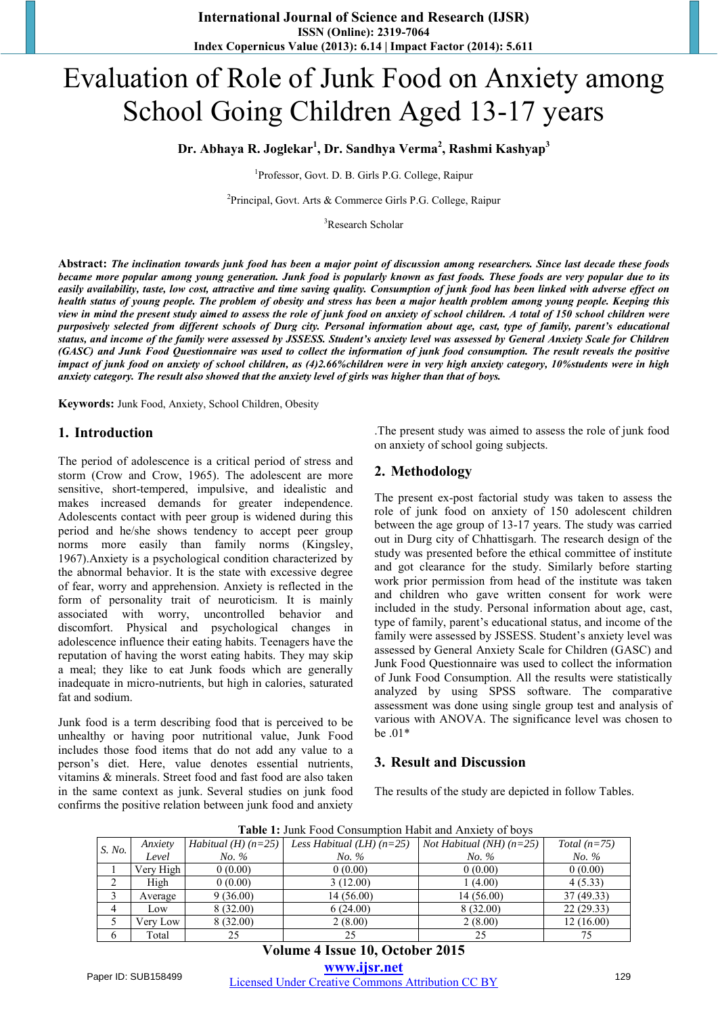# Evaluation of Role of Junk Food on Anxiety among School Going Children Aged 13-17 years

**Dr. Abhaya R. Joglekar<sup>1</sup> , Dr. Sandhya Verma<sup>2</sup> , Rashmi Kashyap<sup>3</sup>**

<sup>1</sup>Professor, Govt. D. B. Girls P.G. College, Raipur

<sup>2</sup>Principal, Govt. Arts & Commerce Girls P.G. College, Raipur

<sup>3</sup>Research Scholar

**Abstract:** *The inclination towards junk food has been a major point of discussion among researchers. Since last decade these foods became more popular among young generation. Junk food is popularly known as fast foods. These foods are very popular due to its easily availability, taste, low cost, attractive and time saving quality. Consumption of junk food has been linked with adverse effect on health status of young people. The problem of obesity and stress has been a major health problem among young people. Keeping this view in mind the present study aimed to assess the role of junk food on anxiety of school children. A total of 150 school children were purposively selected from different schools of Durg city. Personal information about age, cast, type of family, parent's educational status, and income of the family were assessed by JSSESS. Student's anxiety level was assessed by General Anxiety Scale for Children (GASC) and Junk Food Questionnaire was used to collect the information of junk food consumption. The result reveals the positive impact of junk food on anxiety of school children, as (4)2.66%children were in very high anxiety category, 10%students were in high anxiety category. The result also showed that the anxiety level of girls was higher than that of boys.* 

**Keywords:** Junk Food, Anxiety, School Children, Obesity

#### **1. Introduction**

The period of adolescence is a critical period of stress and storm (Crow and Crow, 1965). The adolescent are more sensitive, short-tempered, impulsive, and idealistic and makes increased demands for greater independence. Adolescents contact with peer group is widened during this period and he/she shows tendency to accept peer group norms more easily than family norms (Kingsley, 1967).Anxiety is a psychological condition characterized by the abnormal behavior. It is the state with excessive degree of fear, worry and apprehension. Anxiety is reflected in the form of personality trait of neuroticism. It is mainly associated with worry, uncontrolled behavior and discomfort. Physical and psychological changes in adolescence influence their eating habits. Teenagers have the reputation of having the worst eating habits. They may skip a meal; they like to eat Junk foods which are generally inadequate in micro-nutrients, but high in calories, saturated fat and sodium.

Junk food is a term describing food that is perceived to be unhealthy or having poor nutritional value, Junk Food includes those food items that do not add any value to a person's diet. Here, value denotes essential nutrients, vitamins & minerals. Street food and fast food are also taken in the same context as junk. Several studies on junk food confirms the positive relation between junk food and anxiety .The present study was aimed to assess the role of junk food on anxiety of school going subjects.

#### **2. Methodology**

The present ex-post factorial study was taken to assess the role of junk food on anxiety of 150 adolescent children between the age group of 13-17 years. The study was carried out in Durg city of Chhattisgarh. The research design of the study was presented before the ethical committee of institute and got clearance for the study. Similarly before starting work prior permission from head of the institute was taken and children who gave written consent for work were included in the study. Personal information about age, cast, type of family, parent's educational status, and income of the family were assessed by JSSESS. Student's anxiety level was assessed by General Anxiety Scale for Children (GASC) and Junk Food Questionnaire was used to collect the information of Junk Food Consumption. All the results were statistically analyzed by using SPSS software. The comparative assessment was done using single group test and analysis of various with ANOVA. The significance level was chosen to be .01\*

#### **3. Result and Discussion**

The results of the study are depicted in follow Tables.

**Table 1:** Junk Food Consumption Habit and Anxiety of boys

| S. No. | Anxiety   | Habitual $(H)$ $(n=25)$ | Less Habitual (LH) $(n=25)$ | <i>Not Habitual (NH)</i> $(n=25)$ | Total $(n=75)$ |
|--------|-----------|-------------------------|-----------------------------|-----------------------------------|----------------|
|        | Level     | No. %                   | No. %                       | No. %                             | No. %          |
|        | Very High | 0(0.00)                 | 0(0.00)                     | 0(0.00)                           | 0(0.00)        |
| ∍      | High      | 0(0.00)                 | 3(12.00)                    | 1(4.00)                           | 4(5.33)        |
|        | Average   | 9(36.00)                | 14(56.00)                   | 14(56.00)                         | 37 (49.33)     |
| 4      | Low       | 8 (32.00)               | 6(24.00)                    | 8 (32.00)                         | 22(29.33)      |
|        | Very Low  | 8(32.00)                | 2(8.00)                     | 2(8.00)                           | 12(16.00)      |
| 6      | Total     |                         | 25                          | 25                                | 75             |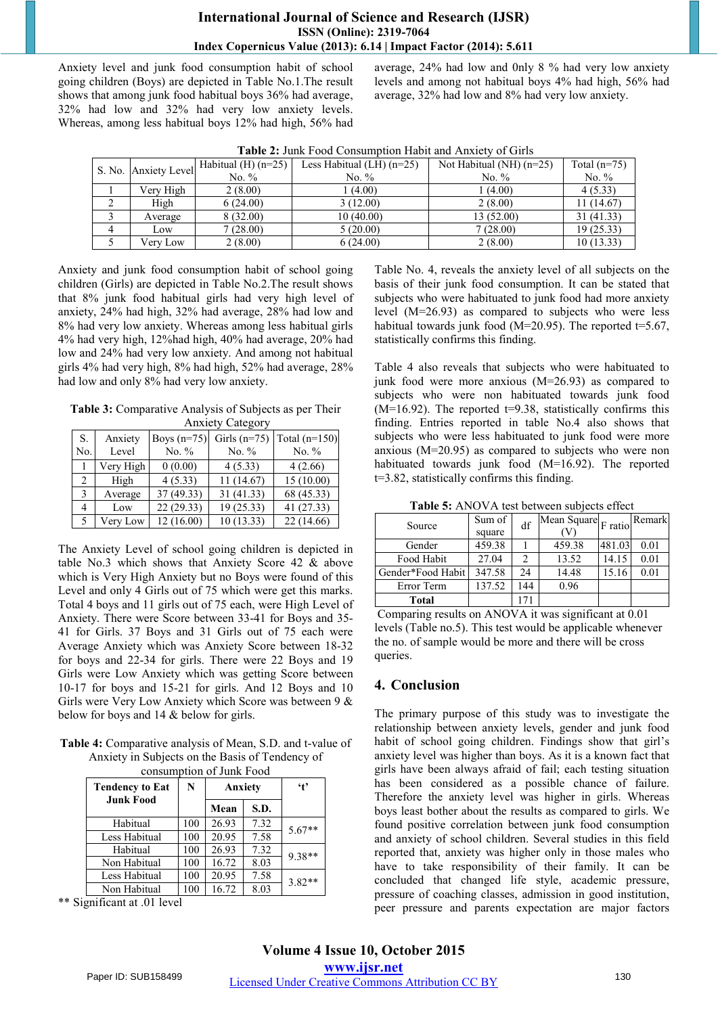#### **International Journal of Science and Research (IJSR) ISSN (Online): 2319-7064 Index Copernicus Value (2013): 6.14 | Impact Factor (2014): 5.611**

Anxiety level and junk food consumption habit of school going children (Boys) are depicted in Table No.1.The result shows that among junk food habitual boys 36% had average, 32% had low and 32% had very low anxiety levels. Whereas, among less habitual boys 12% had high, 56% had average, 24% had low and 0nly 8 % had very low anxiety levels and among not habitual boys 4% had high, 56% had average, 32% had low and 8% had very low anxiety.

|   | S. No. Anxiety Level | Habitual $(H)$ (n=25) | Less Habitual $(LH)$ (n=25) | Not Habitual (NH) $(n=25)$ | Total $(n=75)$ |  |  |
|---|----------------------|-----------------------|-----------------------------|----------------------------|----------------|--|--|
|   |                      | No. $%$               | No. $%$                     | No. $%$                    | No. $%$        |  |  |
|   | Very High            | 2(8.00)               | (4.00)                      | 1(4.00)                    | 4(5.33)        |  |  |
|   | High                 | 6(24.00)              | 3(12.00)                    | 2(8.00)                    | 11 (14.67)     |  |  |
|   | Average              | 8 (32.00)             | 10(40.00)                   | 13 (52.00)                 | 31(41.33)      |  |  |
| 4 | Low                  | 7(28.00)              | 5(20.00)                    | 7(28.00)                   | 19 (25.33)     |  |  |
|   | Verv Low             | 2(8.00)               | 6(24.00)                    | 2(8.00)                    | 10(13.33)      |  |  |

Anxiety and junk food consumption habit of school going children (Girls) are depicted in Table No.2.The result shows that 8% junk food habitual girls had very high level of anxiety, 24% had high, 32% had average, 28% had low and 8% had very low anxiety. Whereas among less habitual girls 4% had very high, 12%had high, 40% had average, 20% had low and 24% had very low anxiety. And among not habitual girls 4% had very high, 8% had high, 52% had average, 28% had low and only 8% had very low anxiety.

**Table 3:** Comparative Analysis of Subjects as per Their Anxiety Category

| S.<br>No.     | Anxiety<br>Level | Boys $(n=75)$<br>No. $%$ | Girls $(n=75)$<br>No. $%$ | Total $(n=150)$<br>No. $%$ |
|---------------|------------------|--------------------------|---------------------------|----------------------------|
|               | Very High        | 0(0.00)                  | 4(5.33)                   | 4(2.66)                    |
| 2             | High             | 4(5.33)                  | 11 (14.67)                | 15(10.00)                  |
| $\mathcal{E}$ | Average          | 37(49.33)                | 31 (41.33)                | 68 (45.33)                 |
| 4             | Low              | 22(29.33)                | 19 (25.33)                | 41 (27.33)                 |
| 5.            | Very Low         | 12(16.00)                | 10(13.33)                 | 22(14.66)                  |

The Anxiety Level of school going children is depicted in table No.3 which shows that Anxiety Score 42 & above which is Very High Anxiety but no Boys were found of this Level and only 4 Girls out of 75 which were get this marks. Total 4 boys and 11 girls out of 75 each, were High Level of Anxiety. There were Score between 33-41 for Boys and 35- 41 for Girls. 37 Boys and 31 Girls out of 75 each were Average Anxiety which was Anxiety Score between 18-32 for boys and 22-34 for girls. There were 22 Boys and 19 Girls were Low Anxiety which was getting Score between 10-17 for boys and 15-21 for girls. And 12 Boys and 10 Girls were Very Low Anxiety which Score was between 9 & below for boys and 14 & below for girls.

**Table 4:** Comparative analysis of Mean, S.D. and t-value of Anxiety in Subjects on the Basis of Tendency of consumption of Junk Food

|                        |     | Anxiety |      | $\cdot$ <sub>t</sub> |  |
|------------------------|-----|---------|------|----------------------|--|
| <b>Tendency to Eat</b> | N   |         |      |                      |  |
| <b>Junk Food</b>       |     | Mean    | S.D. |                      |  |
| Habitual               | 100 | 26.93   | 7.32 | $5.67**$             |  |
| Less Habitual          | 100 | 20.95   | 7.58 |                      |  |
| Habitual               | 100 | 26.93   | 7.32 | $9.38**$             |  |
| Non Habitual           | 100 | 16.72   | 8.03 |                      |  |
| Less Habitual          | 100 | 20.95   | 7.58 | $3.82**$             |  |
| Non Habitual           | 100 | 16.72   | 8.03 |                      |  |

\*\* Significant at .01 level

Table No. 4, reveals the anxiety level of all subjects on the basis of their junk food consumption. It can be stated that subjects who were habituated to junk food had more anxiety level (M=26.93) as compared to subjects who were less habitual towards junk food (M=20.95). The reported  $t=5.67$ , statistically confirms this finding.

Table 4 also reveals that subjects who were habituated to junk food were more anxious (M=26.93) as compared to subjects who were non habituated towards junk food  $(M=16.92)$ . The reported t=9.38, statistically confirms this finding. Entries reported in table No.4 also shows that subjects who were less habituated to junk food were more anxious (M=20.95) as compared to subjects who were non habituated towards junk food (M=16.92). The reported t=3.82, statistically confirms this finding.

**Table 5:** ANOVA test between subjects effect

| Source            | Sum of<br>square | df  | $ \overline{\text{Mean Square}} _F$ ratio <sup>r</sup> |        | Remark |  |
|-------------------|------------------|-----|--------------------------------------------------------|--------|--------|--|
| Gender            | 459.38           |     | 459.38                                                 | 481.03 | 0.01   |  |
| Food Habit        | 27.04            | 2   | 13.52                                                  | 14.15  | 0.01   |  |
| Gender*Food Habit | 347.58           | 24  | 14.48                                                  | 15.16  | 0.01   |  |
| Error Term        | 137.52           | 144 | 0.96                                                   |        |        |  |
| <b>Total</b>      |                  |     |                                                        |        |        |  |

 Comparing results on ANOVA it was significant at 0.01 levels (Table no.5). This test would be applicable whenever the no. of sample would be more and there will be cross queries.

## **4. Conclusion**

The primary purpose of this study was to investigate the relationship between anxiety levels, gender and junk food habit of school going children. Findings show that girl's anxiety level was higher than boys. As it is a known fact that girls have been always afraid of fail; each testing situation has been considered as a possible chance of failure. Therefore the anxiety level was higher in girls. Whereas boys least bother about the results as compared to girls. We found positive correlation between junk food consumption and anxiety of school children. Several studies in this field reported that, anxiety was higher only in those males who have to take responsibility of their family. It can be concluded that changed life style, academic pressure, pressure of coaching classes, admission in good institution, peer pressure and parents expectation are major factors